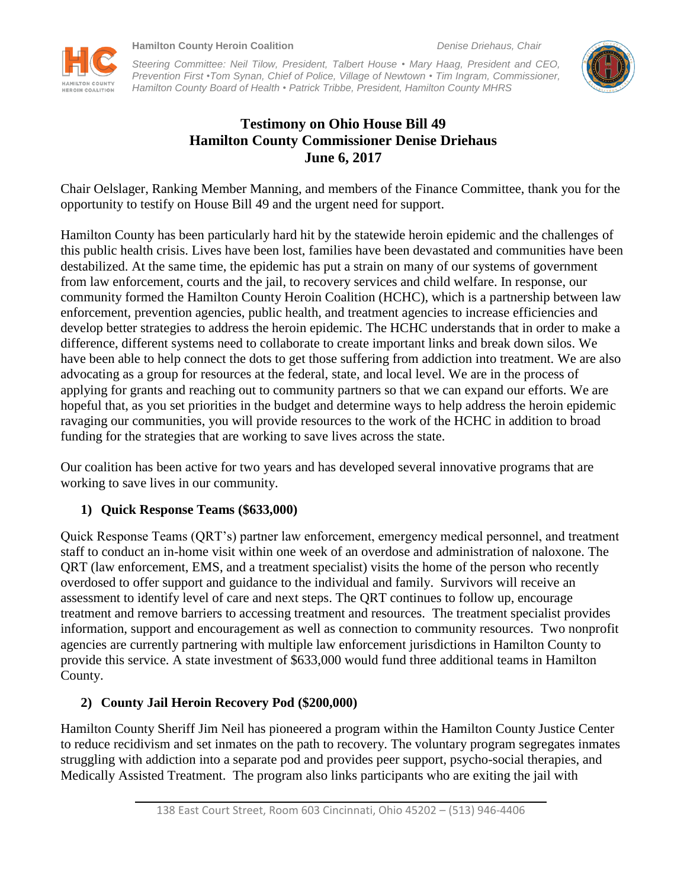**EROIN COALITION** 

*Steering Committee: Neil Tilow, President, Talbert House • Mary Haag, President and CEO, Prevention First •Tom Synan, Chief of Police, Village of Newtown • Tim Ingram, Commissioner, Hamilton County Board of Health • Patrick Tribbe, President, Hamilton County MHRS*



# **Testimony on Ohio House Bill 49 Hamilton County Commissioner Denise Driehaus June 6, 2017**

Chair Oelslager, Ranking Member Manning, and members of the Finance Committee, thank you for the opportunity to testify on House Bill 49 and the urgent need for support.

Hamilton County has been particularly hard hit by the statewide heroin epidemic and the challenges of this public health crisis. Lives have been lost, families have been devastated and communities have been destabilized. At the same time, the epidemic has put a strain on many of our systems of government from law enforcement, courts and the jail, to recovery services and child welfare. In response, our community formed the Hamilton County Heroin Coalition (HCHC), which is a partnership between law enforcement, prevention agencies, public health, and treatment agencies to increase efficiencies and develop better strategies to address the heroin epidemic. The HCHC understands that in order to make a difference, different systems need to collaborate to create important links and break down silos. We have been able to help connect the dots to get those suffering from addiction into treatment. We are also advocating as a group for resources at the federal, state, and local level. We are in the process of applying for grants and reaching out to community partners so that we can expand our efforts. We are hopeful that, as you set priorities in the budget and determine ways to help address the heroin epidemic ravaging our communities, you will provide resources to the work of the HCHC in addition to broad funding for the strategies that are working to save lives across the state.

Our coalition has been active for two years and has developed several innovative programs that are working to save lives in our community.

## **1) Quick Response Teams (\$633,000)**

Quick Response Teams (QRT's) partner law enforcement, emergency medical personnel, and treatment staff to conduct an in-home visit within one week of an overdose and administration of naloxone. The QRT (law enforcement, EMS, and a treatment specialist) visits the home of the person who recently overdosed to offer support and guidance to the individual and family. Survivors will receive an assessment to identify level of care and next steps. The QRT continues to follow up, encourage treatment and remove barriers to accessing treatment and resources. The treatment specialist provides information, support and encouragement as well as connection to community resources. Two nonprofit agencies are currently partnering with multiple law enforcement jurisdictions in Hamilton County to provide this service. A state investment of \$633,000 would fund three additional teams in Hamilton County.

# **2) County Jail Heroin Recovery Pod (\$200,000)**

Hamilton County Sheriff Jim Neil has pioneered a program within the Hamilton County Justice Center to reduce recidivism and set inmates on the path to recovery. The voluntary program segregates inmates struggling with addiction into a separate pod and provides peer support, psycho-social therapies, and Medically Assisted Treatment. The program also links participants who are exiting the jail with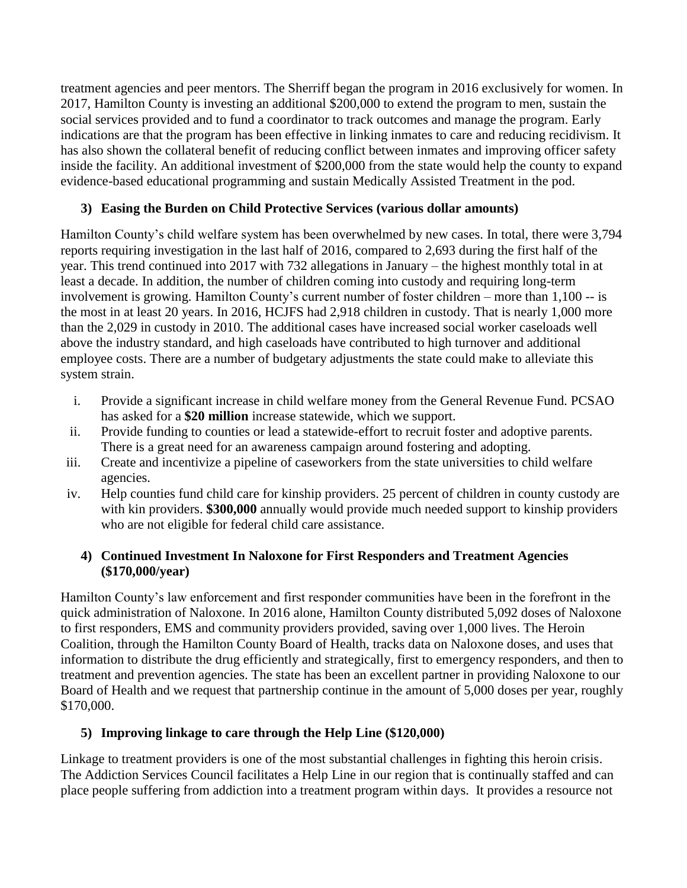treatment agencies and peer mentors. The Sherriff began the program in 2016 exclusively for women. In 2017, Hamilton County is investing an additional \$200,000 to extend the program to men, sustain the social services provided and to fund a coordinator to track outcomes and manage the program. Early indications are that the program has been effective in linking inmates to care and reducing recidivism. It has also shown the collateral benefit of reducing conflict between inmates and improving officer safety inside the facility. An additional investment of \$200,000 from the state would help the county to expand evidence-based educational programming and sustain Medically Assisted Treatment in the pod.

## **3) Easing the Burden on Child Protective Services (various dollar amounts)**

Hamilton County's child welfare system has been overwhelmed by new cases. In total, there were 3,794 reports requiring investigation in the last half of 2016, compared to 2,693 during the first half of the year. This trend continued into 2017 with 732 allegations in January – the highest monthly total in at least a decade. In addition, the number of children coming into custody and requiring long-term involvement is growing. Hamilton County's current number of foster children – more than 1,100 -- is the most in at least 20 years. In 2016, HCJFS had 2,918 children in custody. That is nearly 1,000 more than the 2,029 in custody in 2010. The additional cases have increased social worker caseloads well above the industry standard, and high caseloads have contributed to high turnover and additional employee costs. There are a number of budgetary adjustments the state could make to alleviate this system strain.

- i. Provide a significant increase in child welfare money from the General Revenue Fund. PCSAO has asked for a **\$20 million** increase statewide, which we support.
- ii. Provide funding to counties or lead a statewide-effort to recruit foster and adoptive parents. There is a great need for an awareness campaign around fostering and adopting.
- iii. Create and incentivize a pipeline of caseworkers from the state universities to child welfare agencies.
- iv. Help counties fund child care for kinship providers. 25 percent of children in county custody are with kin providers. **\$300,000** annually would provide much needed support to kinship providers who are not eligible for federal child care assistance.

## **4) Continued Investment In Naloxone for First Responders and Treatment Agencies (\$170,000/year)**

Hamilton County's law enforcement and first responder communities have been in the forefront in the quick administration of Naloxone. In 2016 alone, Hamilton County distributed 5,092 doses of Naloxone to first responders, EMS and community providers provided, saving over 1,000 lives. The Heroin Coalition, through the Hamilton County Board of Health, tracks data on Naloxone doses, and uses that information to distribute the drug efficiently and strategically, first to emergency responders, and then to treatment and prevention agencies. The state has been an excellent partner in providing Naloxone to our Board of Health and we request that partnership continue in the amount of 5,000 doses per year, roughly \$170,000.

## **5) Improving linkage to care through the Help Line (\$120,000)**

Linkage to treatment providers is one of the most substantial challenges in fighting this heroin crisis. The Addiction Services Council facilitates a Help Line in our region that is continually staffed and can place people suffering from addiction into a treatment program within days. It provides a resource not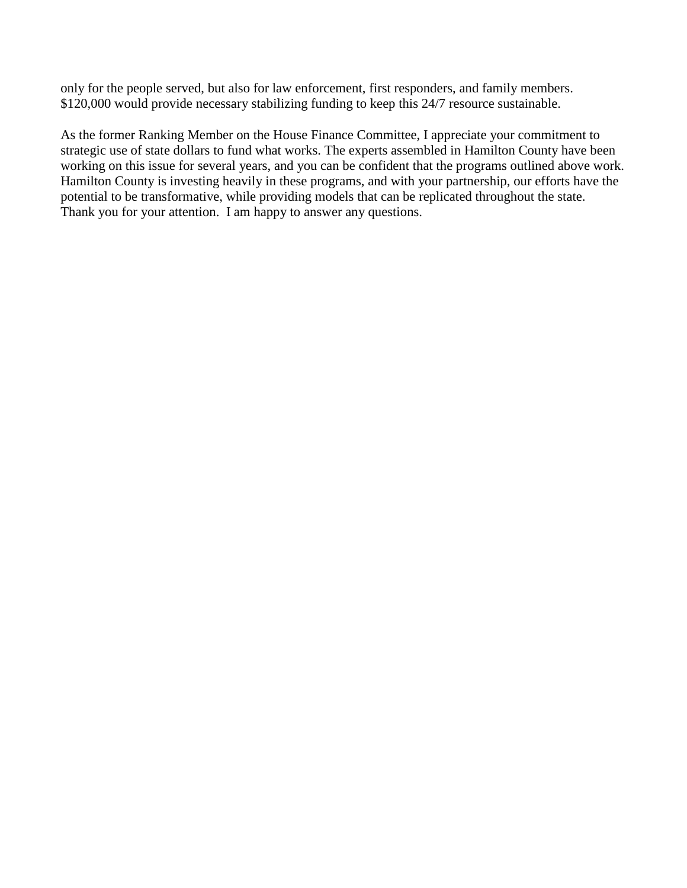only for the people served, but also for law enforcement, first responders, and family members. \$120,000 would provide necessary stabilizing funding to keep this 24/7 resource sustainable.

As the former Ranking Member on the House Finance Committee, I appreciate your commitment to strategic use of state dollars to fund what works. The experts assembled in Hamilton County have been working on this issue for several years, and you can be confident that the programs outlined above work. Hamilton County is investing heavily in these programs, and with your partnership, our efforts have the potential to be transformative, while providing models that can be replicated throughout the state. Thank you for your attention. I am happy to answer any questions.